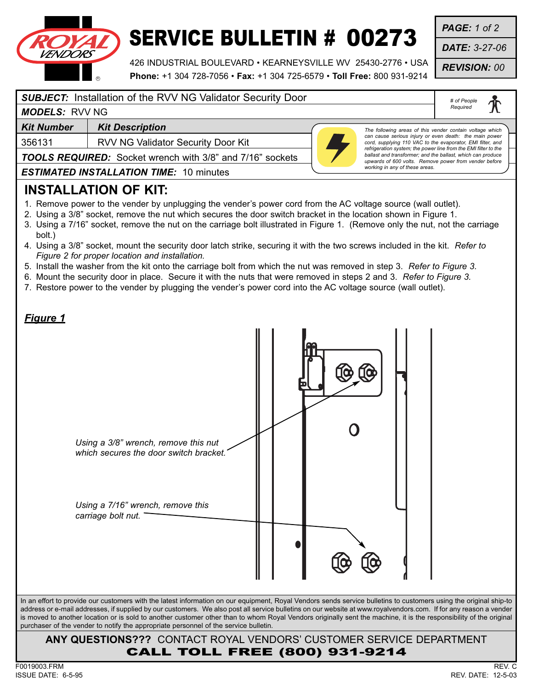

## SERVICE BULLETIN # 00273

426 INDUSTRIAL BOULEVARD • KEARNEYSVILLE WV 25430-2776 • USA **Phone:** +1 304 728-7056 • **Fax:** +1 304 725-6579 • **Toll Free:** 800 931-9214 *PAGE: 1 of 2*

*DATE: 3-27-06*

*REVISION: 00*

#### *SUBJECT:* Installation of the RVV NG Validator Security Door

*# of People Required*

### *MODELS:* RVV NG

**Kit Number | Kit Description** 

356131 RVV NG Validator Security Door Kit

*The following areas of this vender contain voltage which can cause serious injury or even death: the main power cord, supplying 110 VAC to the evaporator, EMI filter, and refrigeration system; the power line from the EMI filter to the ballast and transformer; and the ballast, which can produce upwards of 600 volts. Remove power from vender before working in any of these areas.*

*TOOLS REQUIRED:* Socket wrench with 3/8" and 7/16" sockets

*ESTIMATED INSTALLATION TIME:* 10 minutes

#### **INSTALLATION OF KIT:**

- 1. Remove power to the vender by unplugging the vender's power cord from the AC voltage source (wall outlet).
- 2. Using a 3/8" socket, remove the nut which secures the door switch bracket in the location shown in Figure 1.
- 3. Using a 7/16" socket, remove the nut on the carriage bolt illustrated in Figure 1. (Remove only the nut, not the carriage bolt.)
- 4. Using a 3/8" socket, mount the security door latch strike, securing it with the two screws included in the kit. *Refer to Figure 2 for proper location and installation.*
- 5. Install the washer from the kit onto the carriage bolt from which the nut was removed in step 3. *Refer to Figure 3.*
- 6. Mount the security door in place. Secure it with the nuts that were removed in steps 2 and 3. *Refer to Figure 3.*
- 7. Restore power to the vender by plugging the vender's power cord into the AC voltage source (wall outlet).

| <u>Figure 1</u> | Using a 3/8" wrench, remove this nut<br>which secures the door switch bracket.<br>Using a 7/16" wrench, remove this<br>carriage bolt nut.                                                                                                                                                                                                                                                                                                                                                                                                                                                           |  |  |  |  |
|-----------------|-----------------------------------------------------------------------------------------------------------------------------------------------------------------------------------------------------------------------------------------------------------------------------------------------------------------------------------------------------------------------------------------------------------------------------------------------------------------------------------------------------------------------------------------------------------------------------------------------------|--|--|--|--|
|                 |                                                                                                                                                                                                                                                                                                                                                                                                                                                                                                                                                                                                     |  |  |  |  |
|                 | In an effort to provide our customers with the latest information on our equipment, Royal Vendors sends service bulletins to customers using the original ship-to<br>address or e-mail addresses, if supplied by our customers. We also post all service bulletins on our website at www.royalvendors.com. If for any reason a vender<br>is moved to another location or is sold to another customer other than to whom Royal Vendors originally sent the machine, it is the responsibility of the original<br>purchaser of the vender to notify the appropriate personnel of the service bulletin. |  |  |  |  |
|                 | ANY QUESTIONS??? CONTACT ROYAL VENDORS' CUSTOMER SERVICE DEPARTMENT<br><b>CALL TOLL FREE (800) 931-9214</b>                                                                                                                                                                                                                                                                                                                                                                                                                                                                                         |  |  |  |  |